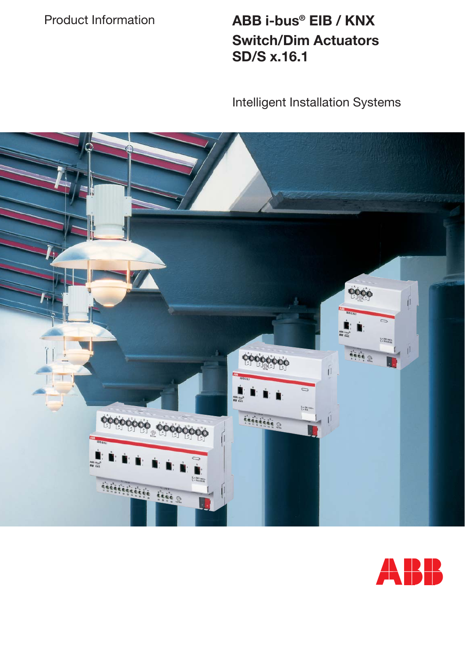Product Information **ABB i-bus® EIB / KNX Switch/Dim Actuators SD/S x.16.1**

Intelligent Installation Systems